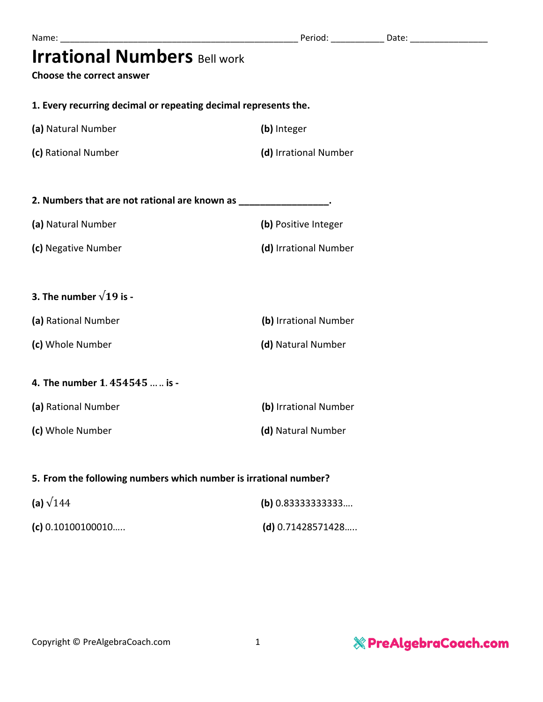| <b>Irrational Numbers Bell work</b> |  |  |
|-------------------------------------|--|--|
|-------------------------------------|--|--|

**Choose the correct answer**

**1. Every recurring decimal or repeating decimal represents the.**

| (a) Natural Number | (b) Integer |
|--------------------|-------------|
|                    |             |

**(c)** Rational Number **(d)** Irrational Number

| 2. Numbers that are not rational are known as |                      |
|-----------------------------------------------|----------------------|
| (a) Natural Number                            | (b) Positive Integer |

**(c)** Negative Number **(d)** Irrational Number

## **3.** The number  $\sqrt{19}$  is -

| (a) Rational Number | (b) Irrational Number |  |
|---------------------|-----------------------|--|
| (c) Whole Number    | (d) Natural Number    |  |

## **4.** The number 1.454545 ... .. is -

| (a) Rational Number | (b) Irrational Number |  |  |
|---------------------|-----------------------|--|--|
| (c) Whole Number    | (d) Natural Number    |  |  |

## **5. From the following numbers which number is irrational number?**

| (a) $\sqrt{144}$    | (b) $0.833333333333$ |  |
|---------------------|----------------------|--|
| (c) $0.10100100010$ | (d) $0.71428571428$  |  |

& PreAlgebraCoach.com